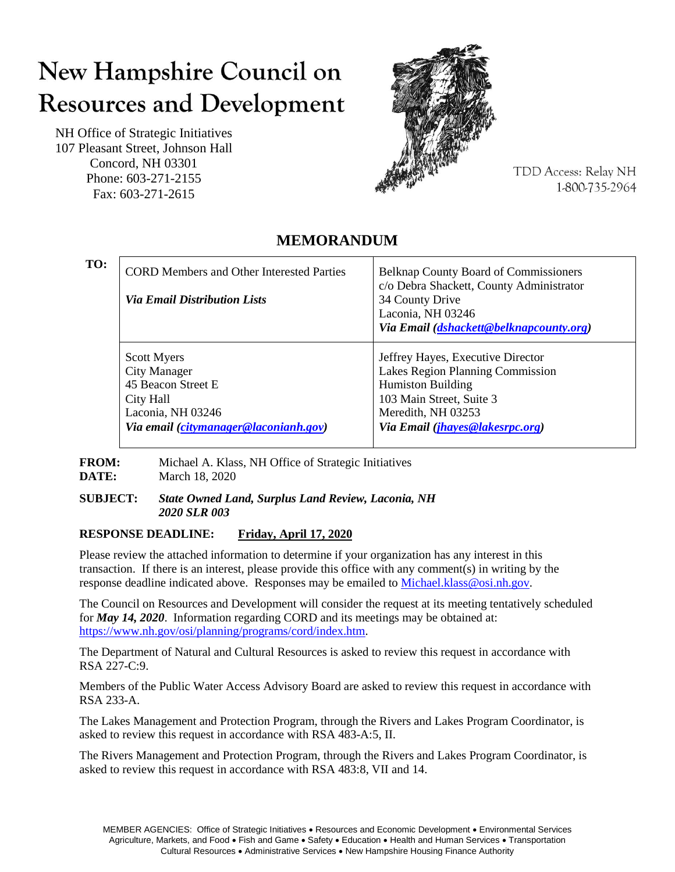# New Hampshire Council on **Resources and Development**

NH Office of Strategic Initiatives 107 Pleasant Street, Johnson Hall Concord, NH 03301 Phone: 603-271-2155 Fax: 603-271-2615



**TDD Access: Relay NH** 1-800-735-2964

#### **TO:** CORD Members and Other Interested Parties *Via Email Distribution Lists* Belknap County Board of Commissioners c/o Debra Shackett, County Administrator 34 County Drive Laconia, NH 03246 *Via Email [\(dshackett@belknapcounty.org\)](mailto:dshackett@belknapcounty.org)* Scott Myers City Manager 45 Beacon Street E City Hall Laconia, NH 03246 *Via email [\(citymanager@laconianh.gov\)](mailto:citymanager@laconianh.gov)* Jeffrey Hayes, Executive Director Lakes Region Planning Commission Humiston Building 103 Main Street, Suite 3 Meredith, NH 03253 *Via Email [\(jhayes@lakesrpc.org\)](mailto:jhayes@lakesrpc.org)*

## **MEMORANDUM**

**FROM:** Michael A. Klass, NH Office of Strategic Initiatives **DATE:** March 18, 2020

#### **SUBJECT:** *State Owned Land, Surplus Land Review, Laconia, NH 2020 SLR 003*

#### **RESPONSE DEADLINE: Friday, April 17, 2020**

Please review the attached information to determine if your organization has any interest in this transaction. If there is an interest, please provide this office with any comment(s) in writing by the response deadline indicated above. Responses may be emailed t[o Michael.klass@osi.nh.gov.](mailto:Michael.klass@osi.nh.gov)

The Council on Resources and Development will consider the request at its meeting tentatively scheduled for *May 14, 2020*. Information regarding CORD and its meetings may be obtained at: [https://www.nh.gov/osi/planning/programs/cord/index.htm.](https://www.nh.gov/osi/planning/programs/cord/index.htm)

The Department of Natural and Cultural Resources is asked to review this request in accordance with RSA 227-C:9.

Members of the Public Water Access Advisory Board are asked to review this request in accordance with RSA 233-A.

The Lakes Management and Protection Program, through the Rivers and Lakes Program Coordinator, is asked to review this request in accordance with RSA 483-A:5, II.

The Rivers Management and Protection Program, through the Rivers and Lakes Program Coordinator, is asked to review this request in accordance with RSA 483:8, VII and 14.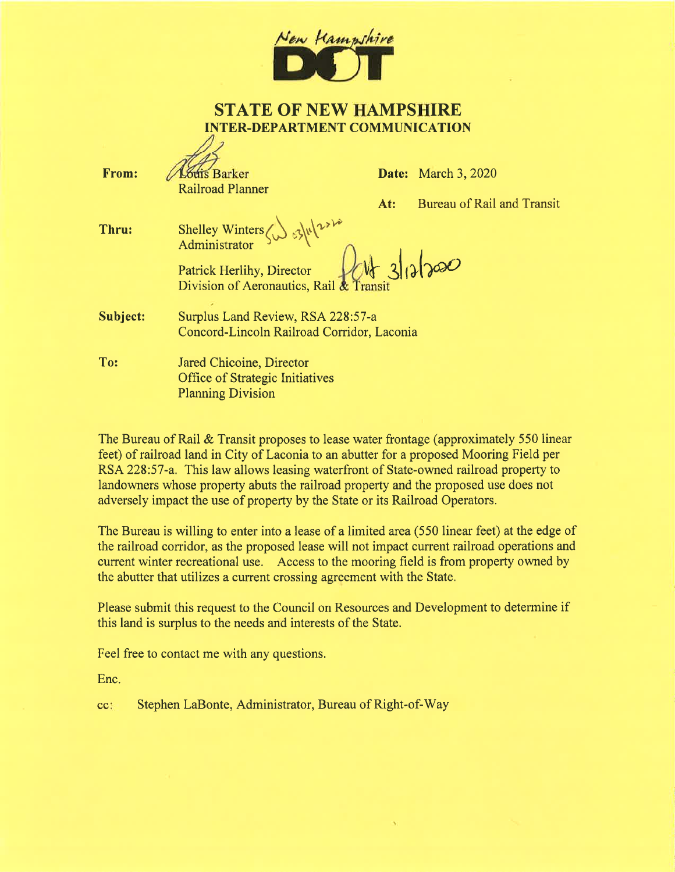

#### **STATE OF NEW HAMPSHIRE INTER-DEPARTMENT COMMUNICATION**  $\Lambda$ ,

| From:    | <b><i><u>Guis Barker</u></i></b><br><b>Railroad Planner</b>                                 |     | <b>Date:</b> March 3, 2020 |
|----------|---------------------------------------------------------------------------------------------|-----|----------------------------|
|          |                                                                                             | At: | Bureau of Rail and Transit |
| Thru:    | Shelley Winters $\left\{\int_{0}^{x}\right\}$ $\left\{\sqrt{\frac{2x^{2}}{x^{3}}} \right\}$ |     |                            |
|          | Patrick Herlihy, Director<br>Division of Aeronautics, Rail & Transit                        |     |                            |
| Subject: | Surplus Land Review, RSA 228:57-a<br>Concord-Lincoln Railroad Corridor, Laconia             |     |                            |
| To:      | Jared Chicoine, Director<br><b>Office of Strategic Initiatives</b>                          |     |                            |

The Bureau of Rail & Transit proposes to lease water frontage (approximately 550 linear feet) of railroad land in City of Laconia to an abutter for a proposed Mooring Field per RSA 228:57-a. This law allows leasing waterfront of State-owned railroad property to landowners whose property abuts the railroad property and the proposed use does not adversely impact the use of property by the State or its Railroad Operators.

The Bureau is willing to enter into a lease of a limited area (550 linear feet) at the edge of the railroad corridor, as the proposed lease will not impact current railroad operations and current winter recreational use. Access to the mooring field is from property owned by the abutter that utilizes a current crossing agreement with the State.

Please submit this request to the Council on Resources and Development to determine if this land is surplus to the needs and interests of the State.

Feel free to contact me with any questions.

**Planning Division** 

Enc.

Stephen LaBonte, Administrator, Bureau of Right-of-Way  $cc$ :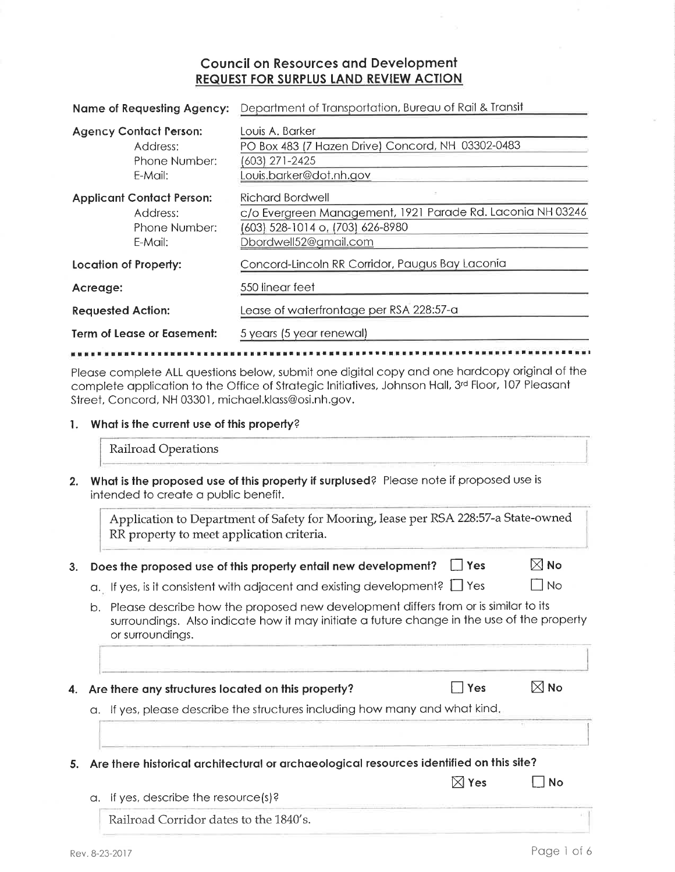### **Council on Resources and Development** REQUEST FOR SURPLUS LAND REVIEW ACTION

| <b>Name of Requesting Agency:</b> |                                                                          | Department of Transportation, Bureau of Rail & Transit                                                                                             |  |  |
|-----------------------------------|--------------------------------------------------------------------------|----------------------------------------------------------------------------------------------------------------------------------------------------|--|--|
|                                   | <b>Agency Contact Person:</b><br>Address:<br>Phone Number:<br>E-Mail:    | Louis A. Barker<br>PO Box 483 (7 Hazen Drive) Concord, NH 03302-0483<br>(603) 271-2425<br>Louis.barker@dot.nh.gov                                  |  |  |
|                                   | <b>Applicant Contact Person:</b><br>Address:<br>Phone Number:<br>E-Mail: | <b>Richard Bordwell</b><br>c/o Evergreen Management, 1921 Parade Rd. Laconia NH 03246<br>(603) 528-1014 o, (703) 626-8980<br>Dbordwell52@gmail.com |  |  |
| <b>Location of Property:</b>      |                                                                          | Concord-Lincoln RR Corridor, Paugus Bay Laconia                                                                                                    |  |  |
| Acreage:                          |                                                                          | 550 linear feet                                                                                                                                    |  |  |
| <b>Requested Action:</b>          |                                                                          | Lease of waterfrontage per RSA 228:57-a                                                                                                            |  |  |
| Term of Lease or Easement:        |                                                                          | 5 years (5 year renewal)                                                                                                                           |  |  |

Please complete ALL questions below, submit one digital copy and one hardcopy original of the complete application to the Office of Strategic Initiatives, Johnson Hall, 3rd Floor, 107 Pleasant Street, Concord, NH 03301, michael.klass@osi.nh.gov.

#### 1. What is the current use of this property?

Railroad Operations

2. What is the proposed use of this property if surplused? Please note if proposed use is intended to create a public benefit.

Application to Department of Safety for Mooring, lease per RSA 228:57-a State-owned RR property to meet application criteria.

- 3. Does the proposed use of this property entail new development?  $\Box$  Yes
	- a. If yes, is it consistent with adjacent and existing development?  $\Box$  Yes
	- b. Please describe how the proposed new development differs from or is similar to its surroundings. Also indicate how it may initiate a future change in the use of the property or surroundings.
- 4. Are there any structures located on this property?

 $\blacksquare$  Yes

a. If yes, please describe the structures including how many and what kind.

5. Are there historical architectural or archaeological resources identified on this site?

|                                      | $\boxtimes$ Yes | ' No |
|--------------------------------------|-----------------|------|
| a. If yes, describe the resource(s)? |                 |      |
| ---                                  |                 |      |

Railroad Corridor dates to the 1840's.

 $\boxtimes$  No

 $\Box$  No

 $\boxtimes$  No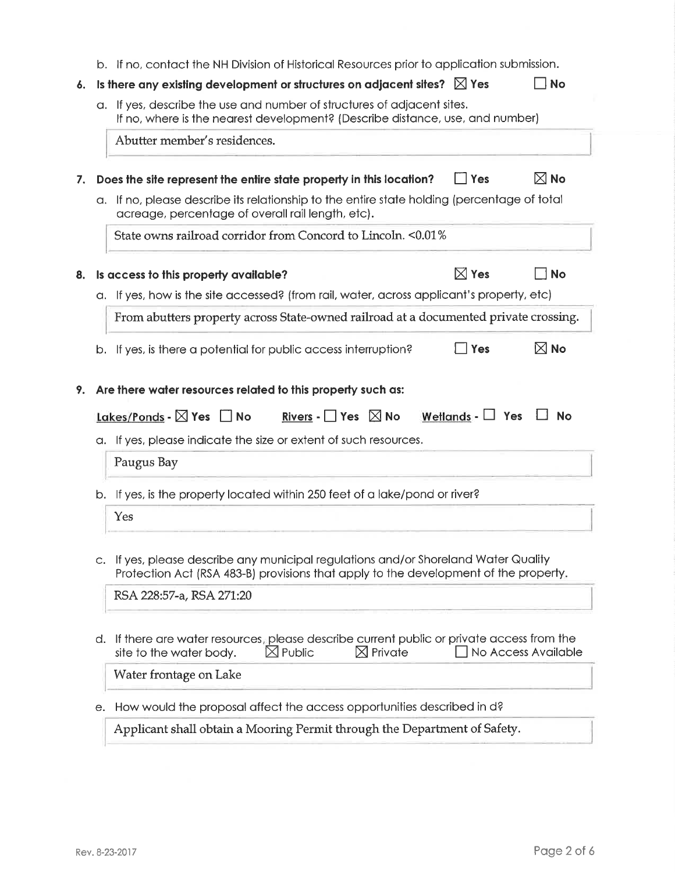|    | b. If no, contact the NH Division of Historical Resources prior to application submission.                                                                                                                            |                       |                             |
|----|-----------------------------------------------------------------------------------------------------------------------------------------------------------------------------------------------------------------------|-----------------------|-----------------------------|
|    | Is there any existing development or structures on adjacent sites? $\boxtimes$ Yes                                                                                                                                    |                       | <b>No</b>                   |
|    | a. If yes, describe the use and number of structures of adjacent sites.<br>If no, where is the nearest development? (Describe distance, use, and number)                                                              |                       |                             |
|    | Abutter member's residences.                                                                                                                                                                                          |                       |                             |
|    | Does the site represent the entire state property in this location?                                                                                                                                                   | $\Box$ Yes            | $\boxtimes$ No              |
|    | a. If no, please describe its relationship to the entire state holding (percentage of total<br>acreage, percentage of overall rail length, etc).                                                                      |                       |                             |
|    | State owns railroad corridor from Concord to Lincoln. < 0.01%                                                                                                                                                         |                       |                             |
|    | Is access to this property available?                                                                                                                                                                                 | $\boxtimes$ Yes       | <b>No</b>                   |
|    | a. If yes, how is the site accessed? (from rail, water, across applicant's property, etc)                                                                                                                             |                       |                             |
|    | From abutters property across State-owned railroad at a documented private crossing.                                                                                                                                  |                       |                             |
|    |                                                                                                                                                                                                                       | <b>Yes</b>            |                             |
|    | b. If yes, is there a potential for public access interruption?<br>Are there water resources related to this property such as:<br>Lakes/Ponds - $\boxtimes$ Yes $\Box$ No<br>Rivers - P $\mathsf{Yes}$ $\boxtimes$ No | Wetlands - $\Box$ Yes | $\boxtimes$ No<br><b>No</b> |
|    | a. If yes, please indicate the size or extent of such resources.                                                                                                                                                      |                       |                             |
|    | Paugus Bay                                                                                                                                                                                                            |                       |                             |
|    | b. If yes, is the property located within 250 feet of a lake/pond or river?                                                                                                                                           |                       |                             |
|    | Yes                                                                                                                                                                                                                   |                       |                             |
|    | c. If yes, please describe any municipal regulations and/or Shoreland Water Quality<br>Protection Act (RSA 483-B) provisions that apply to the development of the property.                                           |                       |                             |
|    | RSA 228:57-a, RSA 271:20                                                                                                                                                                                              |                       |                             |
| d. | If there are water resources, please describe current public or private access from the<br>$\boxtimes$ Private<br>$\boxtimes$ Public<br>site to the water body.                                                       |                       |                             |
|    | Water frontage on Lake                                                                                                                                                                                                |                       | No Access Available         |
| e. | How would the proposal affect the access opportunities described in d?                                                                                                                                                |                       |                             |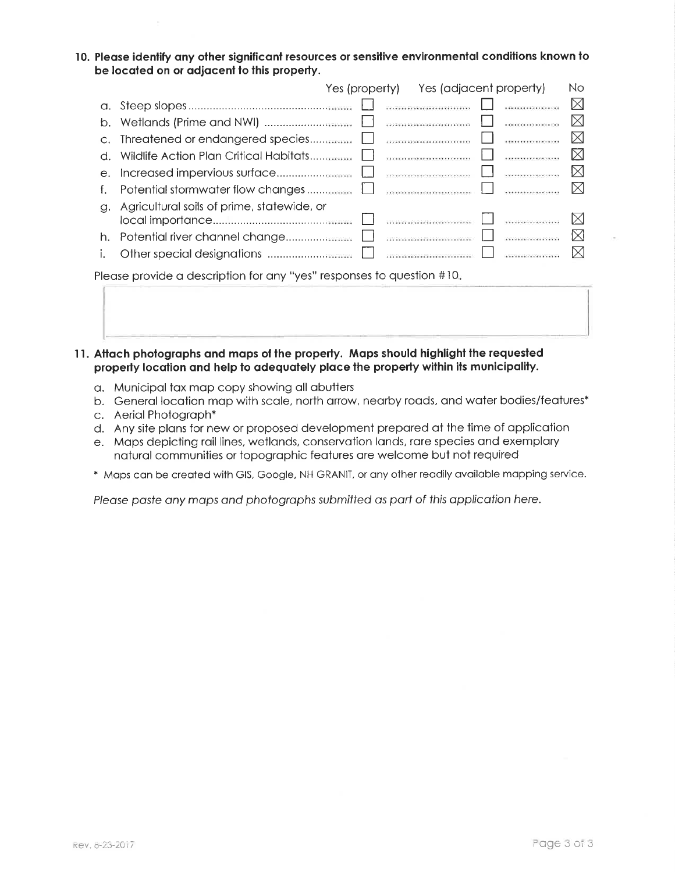10. Please identify any other significant resources or sensitive environmental conditions known to be located on or adjacent to this property.

|                                                                       |                                            |  | Yes (property) Yes (adjacent property) |  |  | No          |
|-----------------------------------------------------------------------|--------------------------------------------|--|----------------------------------------|--|--|-------------|
| $\alpha$ .                                                            |                                            |  |                                        |  |  | $\boxtimes$ |
| b.                                                                    |                                            |  |                                        |  |  | $\boxtimes$ |
|                                                                       |                                            |  |                                        |  |  | $\boxtimes$ |
| d.                                                                    |                                            |  |                                        |  |  | ⊠           |
| $e$ .                                                                 |                                            |  |                                        |  |  | $\bowtie$   |
| f.                                                                    |                                            |  |                                        |  |  | $\boxtimes$ |
| a.                                                                    | Agricultural soils of prime, statewide, or |  |                                        |  |  |             |
|                                                                       |                                            |  |                                        |  |  | ⊠           |
|                                                                       |                                            |  |                                        |  |  | $\boxtimes$ |
|                                                                       |                                            |  |                                        |  |  | $\bowtie$   |
| Please provide a description for any "yes" responses to question #10. |                                            |  |                                        |  |  |             |

- 11. Attach photographs and maps of the property. Maps should highlight the requested property location and help to adequately place the property within its municipality.
	- a. Municipal tax map copy showing all abutters
	- b. General location map with scale, north arrow, nearby roads, and water bodies/features\*
	- c. Aerial Photograph\*
	- d. Any site plans for new or proposed development prepared at the time of application
	- e. Maps depicting rail lines, wetlands, conservation lands, rare species and exemplary natural communities or topographic features are welcome but not required
	- \* Maps can be created with GIS, Google, NH GRANIT, or any other readily available mapping service.

Please paste any maps and photographs submitted as part of this application here.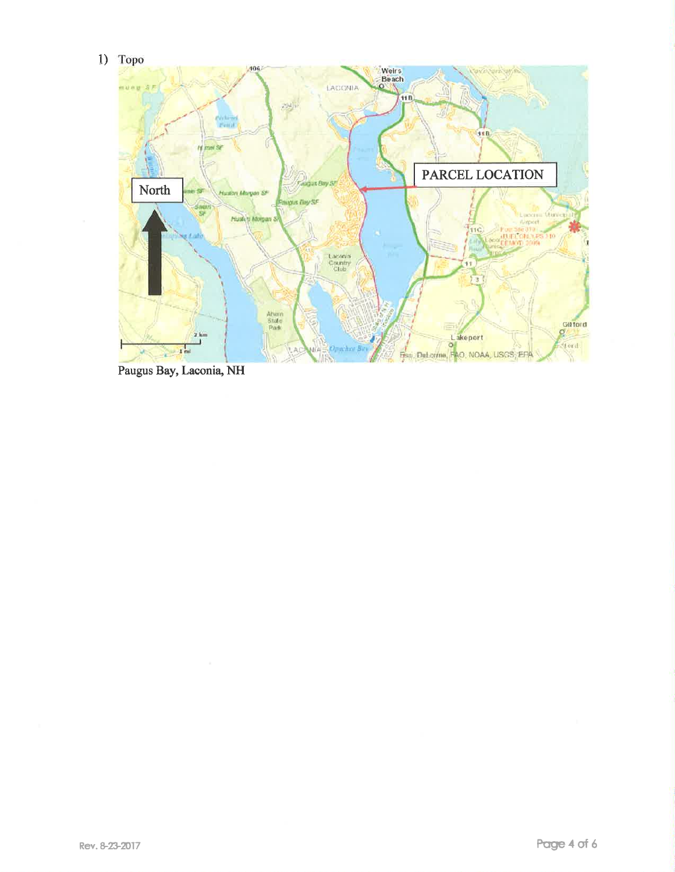1) Topo



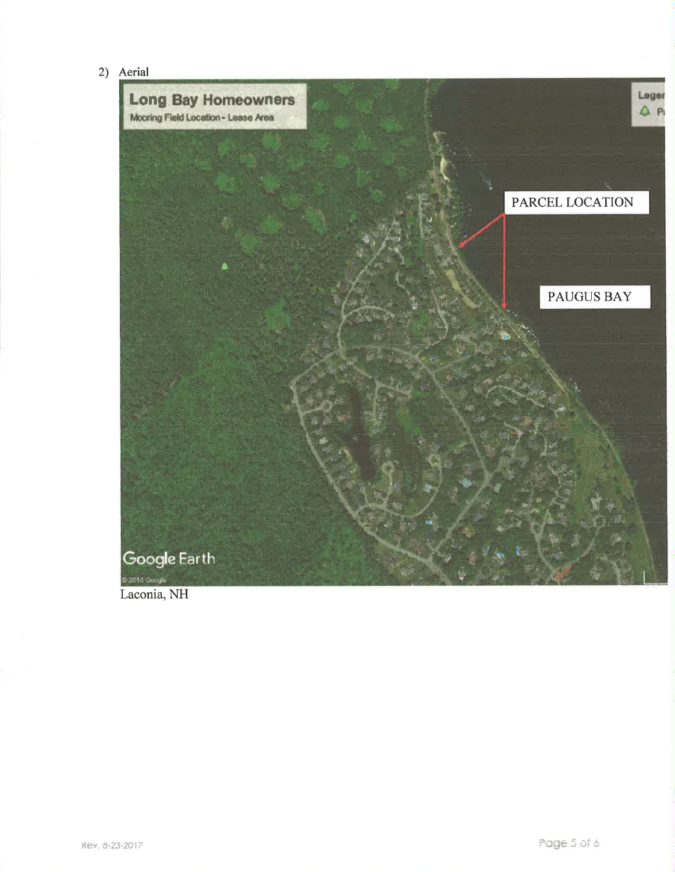2) Aerial



Laconia, NH